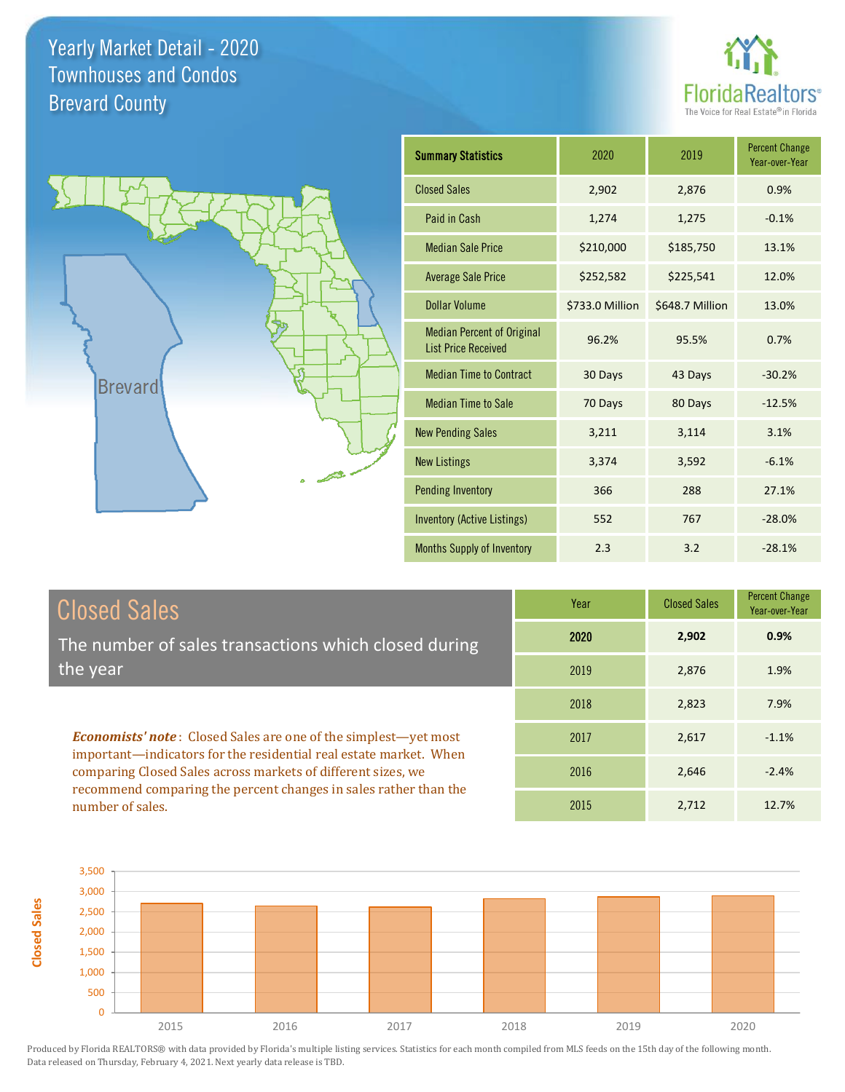



| <b>Summary Statistics</b>                                       | 2020            | 2019            | <b>Percent Change</b><br>Year-over-Year |
|-----------------------------------------------------------------|-----------------|-----------------|-----------------------------------------|
| <b>Closed Sales</b>                                             | 2,902           | 2,876           | 0.9%                                    |
| Paid in Cash                                                    | 1,274           | 1,275           | $-0.1%$                                 |
| <b>Median Sale Price</b>                                        | \$210,000       | \$185,750       | 13.1%                                   |
| <b>Average Sale Price</b>                                       | \$252,582       | \$225,541       | 12.0%                                   |
| <b>Dollar Volume</b>                                            | \$733.0 Million | \$648.7 Million | 13.0%                                   |
| <b>Median Percent of Original</b><br><b>List Price Received</b> | 96.2%           | 95.5%           | 0.7%                                    |
| <b>Median Time to Contract</b>                                  | 30 Days         | 43 Days         | $-30.2%$                                |
| <b>Median Time to Sale</b>                                      | 70 Days         | 80 Days         | $-12.5%$                                |
| <b>New Pending Sales</b>                                        | 3,211           | 3,114           | 3.1%                                    |
| <b>New Listings</b>                                             | 3,374           | 3,592           | $-6.1%$                                 |
| <b>Pending Inventory</b>                                        | 366             | 288             | 27.1%                                   |
| <b>Inventory (Active Listings)</b>                              | 552             | 767             | $-28.0%$                                |
| <b>Months Supply of Inventory</b>                               | 2.3             | 3.2             | $-28.1%$                                |

|  | <b>Closed Sales</b> |
|--|---------------------|
|  |                     |

**Closed Sales**

The number of sales transactions which closed during the year

*Economists' note* : Closed Sales are one of the simplest—yet most important—indicators for the residential real estate market. When comparing Closed Sales across markets of different sizes, we recommend comparing the percent changes in sales rather than the number of sales.

| Year | <b>Closed Sales</b> | <b>Percent Change</b><br>Year-over-Year |
|------|---------------------|-----------------------------------------|
| 2020 | 2,902               | 0.9%                                    |
| 2019 | 2,876               | 1.9%                                    |
| 2018 | 2,823               | 7.9%                                    |
| 2017 | 2,617               | $-1.1%$                                 |
| 2016 | 2,646               | $-2.4%$                                 |
| 2015 | 2,712               | 12.7%                                   |

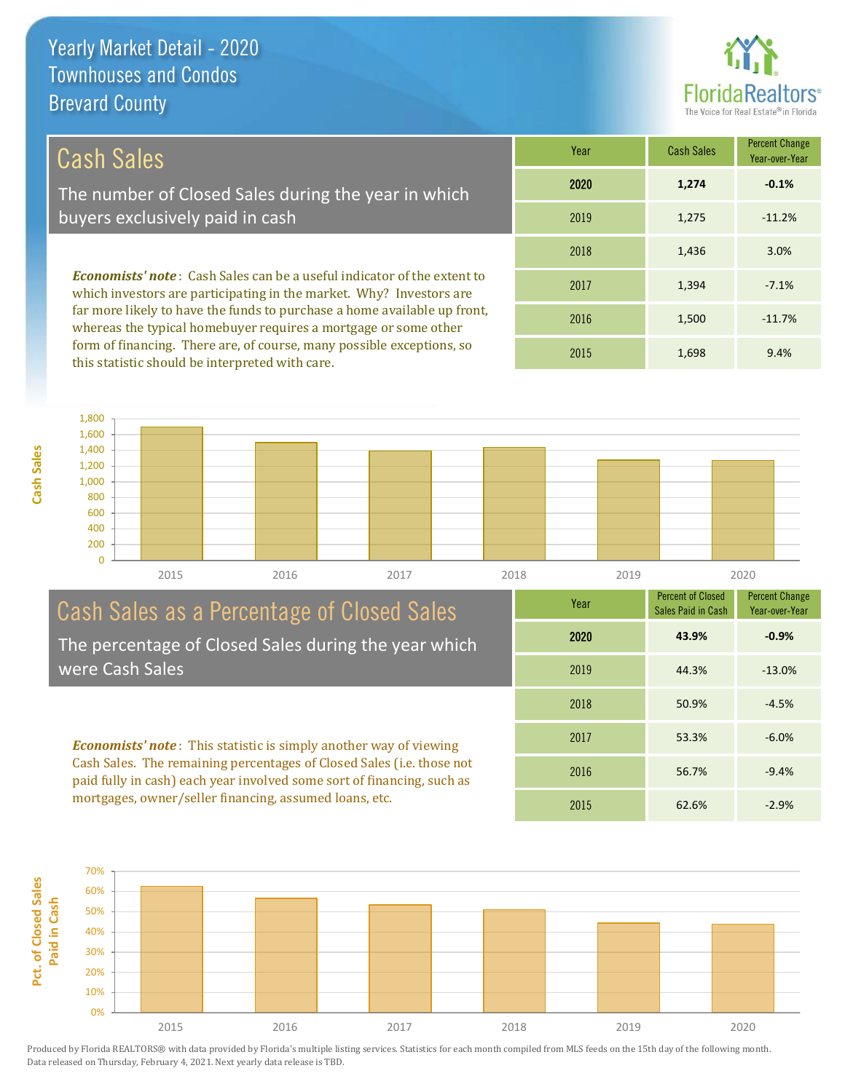

#### Cash Sales

The number of Closed Sales during the year in which buyers exclusively paid in cash

*Economists' note* : Cash Sales can be a useful indicator of the extent to which investors are participating in the market. Why? Investors are far more likely to have the funds to purchase a home available up front, whereas the typical homebuyer requires a mortgage or some other form of financing. There are, of course, many possible exceptions, so this statistic should be interpreted with care.

| Year | <b>Cash Sales</b> | <b>Percent Change</b><br>Year-over-Year |
|------|-------------------|-----------------------------------------|
| 2020 | 1,274             | $-0.1%$                                 |
| 2019 | 1,275             | $-11.2%$                                |
| 2018 | 1,436             | 3.0%                                    |
| 2017 | 1,394             | $-7.1%$                                 |
| 2016 | 1,500             | $-11.7%$                                |
| 2015 | 1,698             | 9.4%                                    |



#### Cash Sales as a Percentage of Closed Sales The percentage of Closed Sales during the year which

were Cash Sales

*Economists' note* : This statistic is simply another way of viewing Cash Sales. The remaining percentages of Closed Sales (i.e. those not paid fully in cash) each year involved some sort of financing, such as mortgages, owner/seller financing, assumed loans, etc.



Year

Percent of Closed

Percent Change

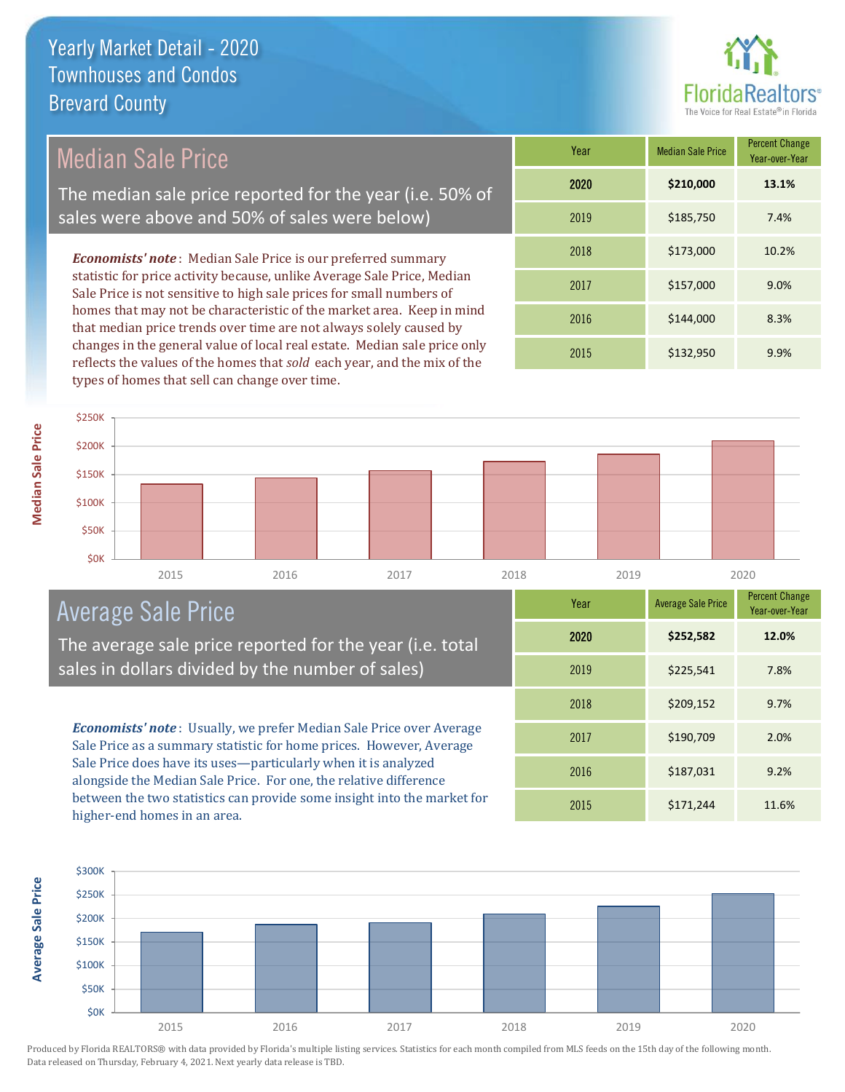

### Median Sale Price

The median sale price reported for the year (i.e. 50% of sales were above and 50% of sales were below)

*Economists' note* : Median Sale Price is our preferred summary statistic for price activity because, unlike Average Sale Price, Median Sale Price is not sensitive to high sale prices for small numbers of homes that may not be characteristic of the market area. Keep in mind that median price trends over time are not always solely caused by changes in the general value of local real estate. Median sale price only reflects the values of the homes that *sold* each year, and the mix of the types of homes that sell can change over time.

| Year | <b>Median Sale Price</b> | <b>Percent Change</b><br>Year-over-Year |
|------|--------------------------|-----------------------------------------|
| 2020 | \$210,000                | 13.1%                                   |
| 2019 | \$185,750                | 7.4%                                    |
| 2018 | \$173,000                | 10.2%                                   |
| 2017 | \$157,000                | 9.0%                                    |
| 2016 | \$144,000                | 8.3%                                    |
| 2015 | \$132,950                | 9.9%                                    |



#### Average Sale Price

The average sale price reported for the year (i.e. total sales in dollars divided by the number of sales)

*Economists' note* : Usually, we prefer Median Sale Price over Average Sale Price as a summary statistic for home prices. However, Average Sale Price does have its uses—particularly when it is analyzed alongside the Median Sale Price. For one, the relative difference between the two statistics can provide some insight into the market for higher-end homes in an area.

| Year | <b>Average Sale Price</b> | <b>Percent Change</b><br>Year-over-Year |
|------|---------------------------|-----------------------------------------|
| 2020 | \$252,582                 | 12.0%                                   |
| 2019 | \$225,541                 | 7.8%                                    |
| 2018 | \$209,152                 | 9.7%                                    |
| 2017 | \$190,709                 | 2.0%                                    |
| 2016 | \$187,031                 | 9.2%                                    |
| 2015 | \$171,244                 | 11.6%                                   |



**Average Sale Price Average Sale Price**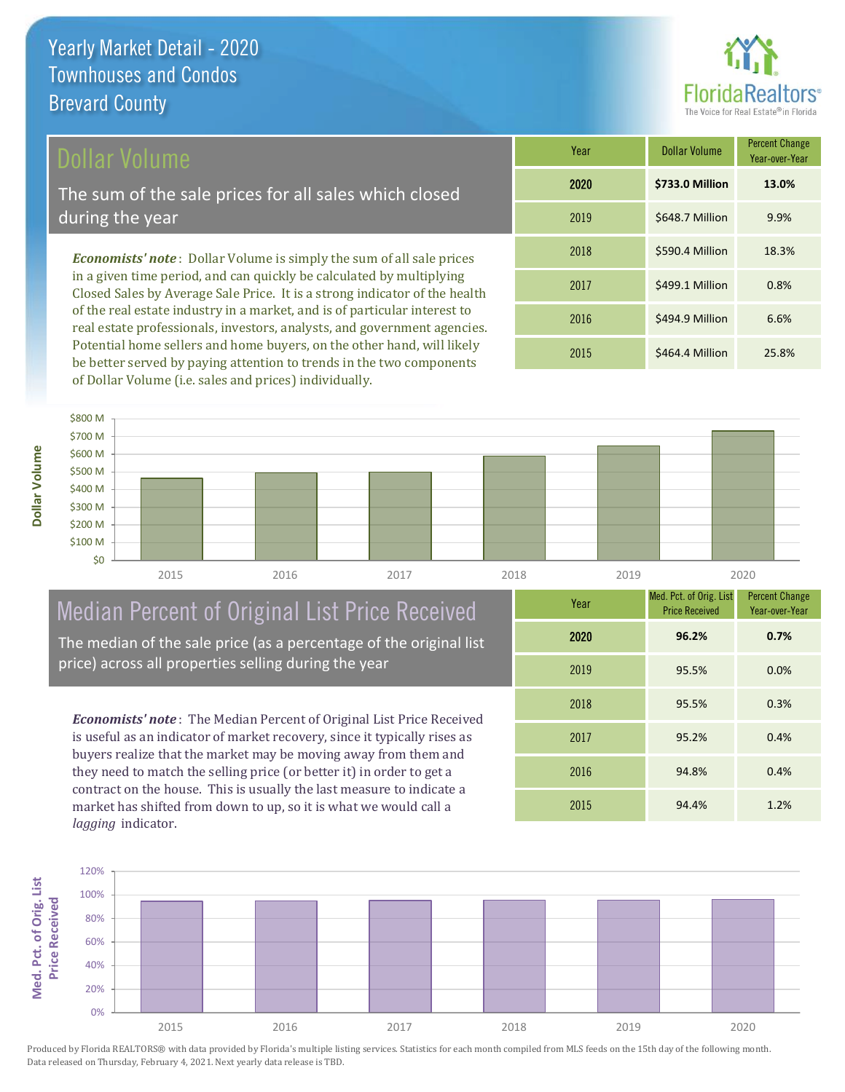#### Dollar Volume

The sum of the sale prices for all sales which closed during the year

*Economists' note* : Dollar Volume is simply the sum of all sale prices in a given time period, and can quickly be calculated by multiplying Closed Sales by Average Sale Price. It is a strong indicator of the health of the real estate industry in a market, and is of particular interest to real estate professionals, investors, analysts, and government agencies. Potential home sellers and home buyers, on the other hand, will likely be better served by paying attention to trends in the two components of Dollar Volume (i.e. sales and prices) individually.

| Year | <b>Dollar Volume</b> | <b>Percent Change</b><br>Year-over-Year |
|------|----------------------|-----------------------------------------|
| 2020 | \$733.0 Million      | 13.0%                                   |
| 2019 | \$648.7 Million      | 9.9%                                    |
| 2018 | \$590.4 Million      | 18.3%                                   |
| 2017 | \$499.1 Million      | 0.8%                                    |
| 2016 | \$494.9 Million      | 6.6%                                    |
| 2015 | \$464.4 Million      | 25.8%                                   |



## Median Percent of Original List Price Received

The median of the sale price (as a percentage of the original list price) across all properties selling during the year

*Economists' note* : The Median Percent of Original List Price Received is useful as an indicator of market recovery, since it typically rises as buyers realize that the market may be moving away from them and they need to match the selling price (or better it) in order to get a contract on the house. This is usually the last measure to indicate a market has shifted from down to up, so it is what we would call a *lagging* indicator.

| Year | Med. Pct. of Orig. List<br><b>Price Received</b> | <b>Percent Change</b><br>Year-over-Year |
|------|--------------------------------------------------|-----------------------------------------|
| 2020 | 96.2%                                            | 0.7%                                    |
| 2019 | 95.5%                                            | 0.0%                                    |
| 2018 | 95.5%                                            | 0.3%                                    |
| 2017 | 95.2%                                            | 0.4%                                    |
| 2016 | 94.8%                                            | 0.4%                                    |
| 2015 | 94.4%                                            | 1.2%                                    |



**Dollar Volume**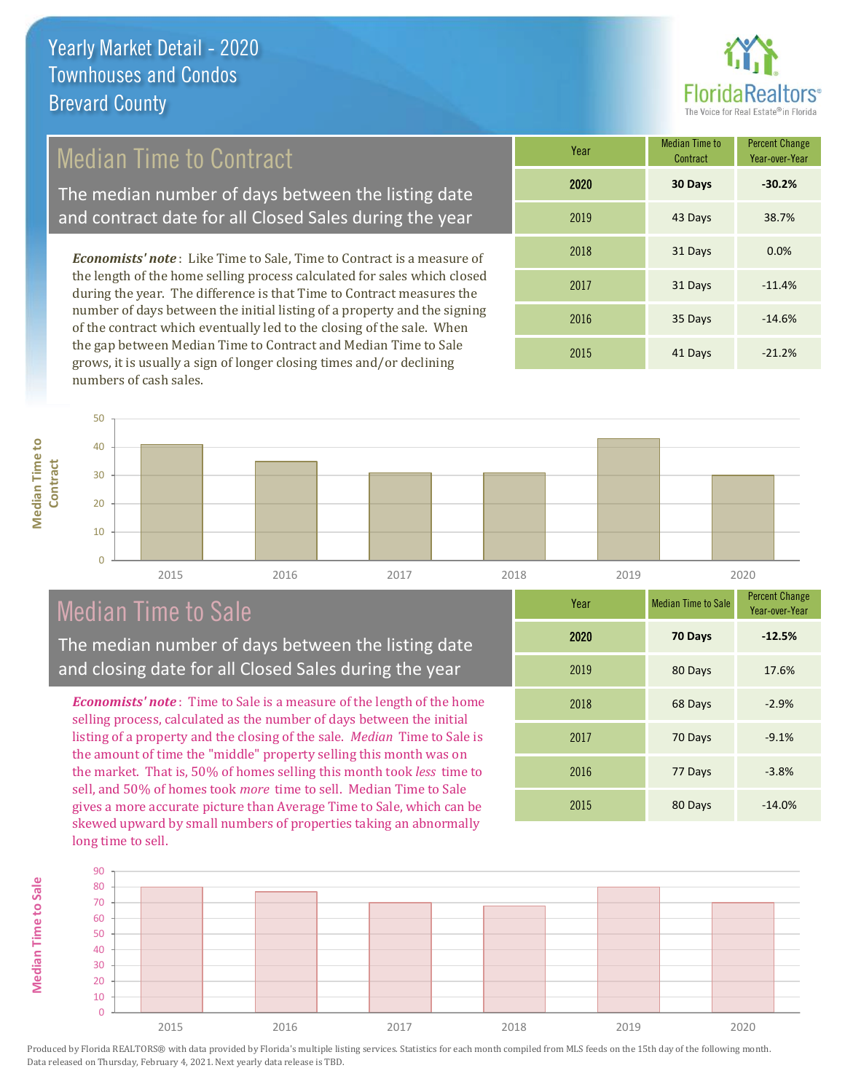

#### Median Time to Contract

The median number of days between the listing date and contract date for all Closed Sales during the year

*Economists' note* : Like Time to Sale, Time to Contract is a measure of the length of the home selling process calculated for sales which closed during the year. The difference is that Time to Contract measures the number of days between the initial listing of a property and the signing of the contract which eventually led to the closing of the sale. When the gap between Median Time to Contract and Median Time to Sale grows, it is usually a sign of longer closing times and/or declining numbers of cash sales.

| Year | Median Time to<br>Contract | <b>Percent Change</b><br>Year-over-Year |
|------|----------------------------|-----------------------------------------|
| 2020 | 30 Days                    | $-30.2%$                                |
| 2019 | 43 Days                    | 38.7%                                   |
| 2018 | 31 Days                    | 0.0%                                    |
| 2017 | 31 Days                    | $-11.4%$                                |
| 2016 | 35 Days                    | $-14.6%$                                |
| 2015 | 41 Days                    | $-21.2%$                                |



#### Median Time to Sale

**Median Time to Sale**

**Median Time to Sale** 

**Median Time to** 

The median number of days between the listing date and closing date for all Closed Sales during the year

*Economists' note* : Time to Sale is a measure of the length of the home selling process, calculated as the number of days between the initial listing of a property and the closing of the sale. *Median* Time to Sale is the amount of time the "middle" property selling this month was on the market. That is, 50% of homes selling this month took *less* time to sell, and 50% of homes took *more* time to sell. Median Time to Sale gives a more accurate picture than Average Time to Sale, which can be skewed upward by small numbers of properties taking an abnormally long time to sell.

| Year | <b>Median Time to Sale</b> | <b>Percent Change</b><br>Year-over-Year |
|------|----------------------------|-----------------------------------------|
| 2020 | 70 Days                    | $-12.5%$                                |
| 2019 | 80 Days                    | 17.6%                                   |
| 2018 | 68 Days                    | $-2.9%$                                 |
| 2017 | 70 Days                    | $-9.1%$                                 |
| 2016 | 77 Days                    | $-3.8%$                                 |
| 2015 | 80 Days                    | $-14.0%$                                |

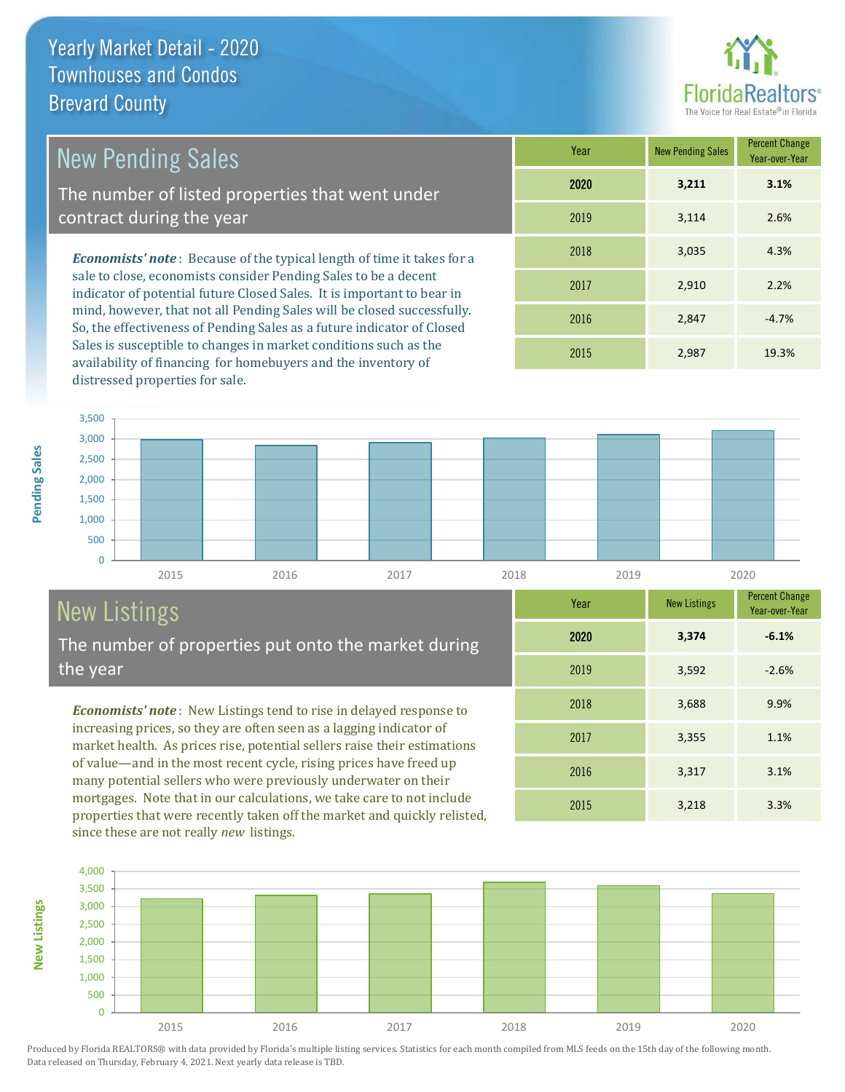

3,355 1.1%

Year-over-Year

**-6.1%**

**Year** New Listings Percent Change

2015 3,218 3.3%

2016 3,317 3.1%

2018 3,688 9.9%

2019 3,592 -2.6%

2020 **3,374**

2017

| <b>New Pending Sales</b>                                                      | Year |
|-------------------------------------------------------------------------------|------|
| The number of listed properties that went under                               | 2020 |
| contract during the year                                                      | 2019 |
| <b>Economists' note:</b> Because of the typical length of time it takes for a | 2018 |
| and a companied and the manufacture of the Calcular Land density              |      |

sale to close, economists consider Pending Sales to be a decent indicator of potential future Closed Sales. It is important to bear in mind, however, that not all Pending Sales will be closed successfully. So, the effectiveness of Pending Sales as a future indicator of Closed Sales is susceptible to changes in market conditions such as the availability of financing for homebuyers and the inventory of distressed properties for sale.

| Year | <b>New Pending Sales</b> | <b>Percent Change</b><br>Year-over-Year |
|------|--------------------------|-----------------------------------------|
| 2020 | 3,211                    | 3.1%                                    |
| 2019 | 3,114                    | 2.6%                                    |
| 2018 | 3,035                    | 4.3%                                    |
| 2017 | 2,910                    | 2.2%                                    |
| 2016 | 2,847                    | $-4.7%$                                 |
| 2015 | 2,987                    | 19.3%                                   |



# New Listings

**New Listings**

Pending Sales

The number of properties put onto the market during the year

*Economists' note* : New Listings tend to rise in delayed response to increasing prices, so they are often seen as a lagging indicator of market health. As prices rise, potential sellers raise their estimations of value—and in the most recent cycle, rising prices have freed up many potential sellers who were previously underwater on their mortgages. Note that in our calculations, we take care to not include properties that were recently taken off the market and quickly relisted, since these are not really *new* listings.

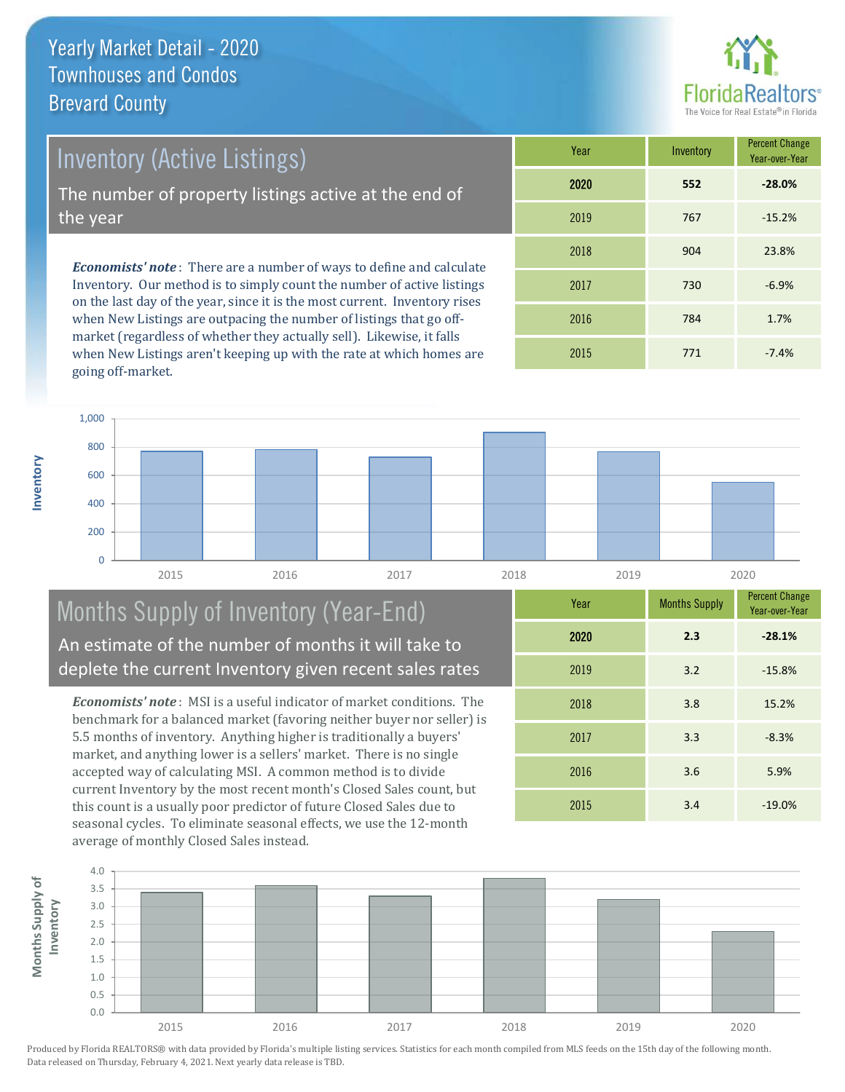**Inventory**



Inventory (Active Listings)

The number of property listings active at the end of the year

*Economists' note* : There are a number of ways to define and calculate Inventory. Our method is to simply count the number of active listings on the last day of the year, since it is the most current. Inventory rises when New Listings are outpacing the number of listings that go offmarket (regardless of whether they actually sell). Likewise, it falls when New Listings aren't keeping up with the rate at which homes are going off-market.

| Year | Inventory | <b>Percent Change</b><br>Year-over-Year |  |
|------|-----------|-----------------------------------------|--|
| 2020 | 552       | $-28.0%$                                |  |
| 2019 | 767       | $-15.2%$                                |  |
| 2018 | 904       | 23.8%                                   |  |
| 2017 | 730       | $-6.9%$                                 |  |
| 2016 | 784       | 1.7%                                    |  |
| 2015 | 771       | $-7.4%$                                 |  |



#### Months Supply of Inventory (Year-End) An estimate of the number of months it will take to deplete the current Inventory given recent sales rates

*Economists' note* : MSI is a useful indicator of market conditions. The benchmark for a balanced market (favoring neither buyer nor seller) is 5.5 months of inventory. Anything higher is traditionally a buyers' market, and anything lower is a sellers' market. There is no single accepted way of calculating MSI. A common method is to divide current Inventory by the most recent month's Closed Sales count, but this count is a usually poor predictor of future Closed Sales due to seasonal cycles. To eliminate seasonal effects, we use the 12-month average of monthly Closed Sales instead.

| Year | <b>Months Supply</b> | <b>Percent Change</b><br>Year-over-Year |  |
|------|----------------------|-----------------------------------------|--|
| 2020 | 2.3                  | $-28.1%$                                |  |
| 2019 | 3.2                  | $-15.8%$                                |  |
| 2018 | 3.8                  | 15.2%                                   |  |
| 2017 | 3.3                  | $-8.3%$                                 |  |
| 2016 | 3.6                  | 5.9%                                    |  |
| 2015 | 3.4                  | $-19.0%$                                |  |

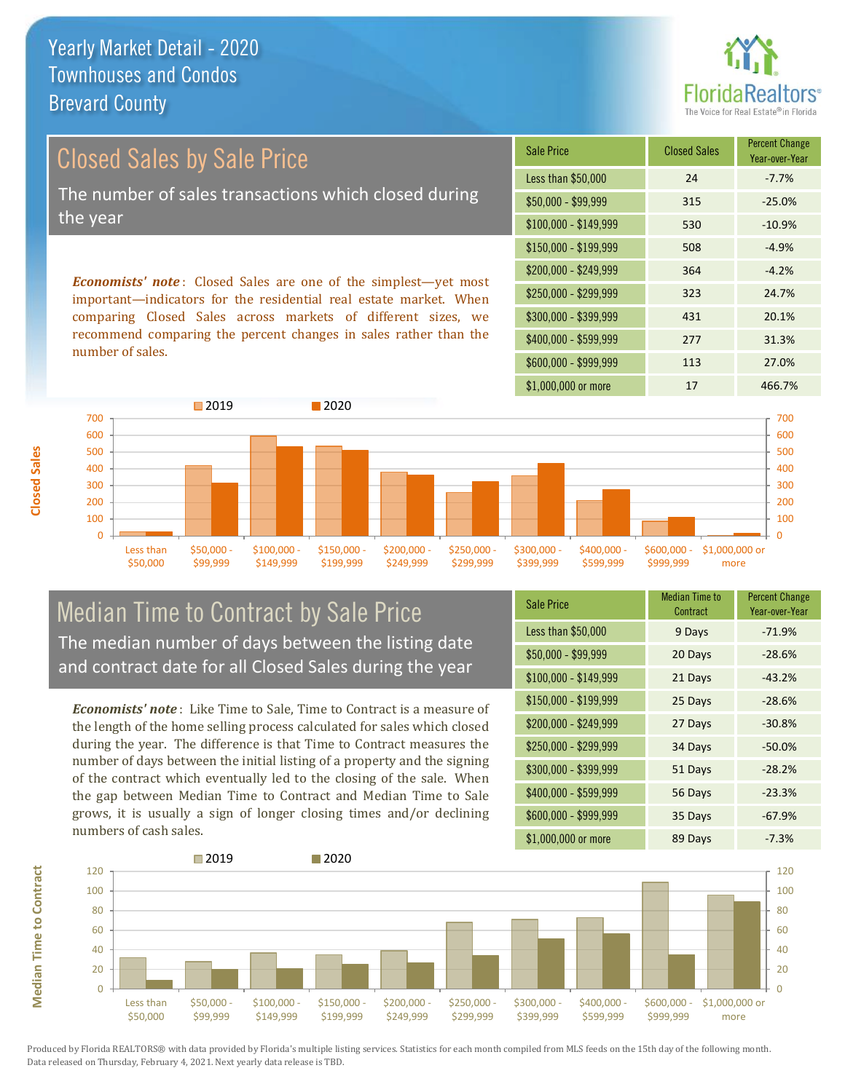

# Closed Sales by Sale Price The number of sales transactions which closed during the year

*Economists' note* : Closed Sales are one of the simplest—yet most important—indicators for the residential real estate market. When comparing Closed Sales across markets of different sizes, we recommend comparing the percent changes in sales rather than the number of sales.

| <b>Sale Price</b>     | <b>Closed Sales</b> | <b>Percent Change</b><br>Year-over-Year |  |
|-----------------------|---------------------|-----------------------------------------|--|
| Less than \$50,000    | 24                  | $-7.7%$                                 |  |
| $$50,000 - $99,999$   | 315                 | $-25.0%$                                |  |
| $$100,000 - $149,999$ | 530                 | $-10.9%$                                |  |
| $$150,000 - $199,999$ | 508                 | $-4.9%$                                 |  |
| \$200,000 - \$249,999 | 364                 | $-4.2%$                                 |  |
| \$250,000 - \$299,999 | 323                 | 24.7%                                   |  |
| \$300,000 - \$399,999 | 431                 | 20.1%                                   |  |
| \$400,000 - \$599,999 | 277                 | 31.3%                                   |  |
| \$600,000 - \$999,999 | 113                 | 27.0%                                   |  |
| \$1,000,000 or more   | 17                  | 466.7%                                  |  |



#### Median Time to Contract by Sale Price The median number of days between the listing date and contract date for all Closed Sales during the year

*Economists' note* : Like Time to Sale, Time to Contract is a measure of the length of the home selling process calculated for sales which closed during the year. The difference is that Time to Contract measures the number of days between the initial listing of a property and the signing of the contract which eventually led to the closing of the sale. When the gap between Median Time to Contract and Median Time to Sale grows, it is usually a sign of longer closing times and/or declining numbers of cash sales.

| <b>Sale Price</b>     | <b>Median Time to</b><br>Contract | <b>Percent Change</b><br>Year-over-Year |  |
|-----------------------|-----------------------------------|-----------------------------------------|--|
| Less than \$50,000    | 9 Days                            | $-71.9%$                                |  |
| \$50,000 - \$99,999   | 20 Days                           | $-28.6%$                                |  |
| $$100,000 - $149,999$ | 21 Days                           | $-43.2%$                                |  |
| $$150,000 - $199,999$ | 25 Days                           | $-28.6%$                                |  |
| $$200,000 - $249,999$ | 27 Days                           | $-30.8%$                                |  |
| \$250,000 - \$299,999 | 34 Days                           | $-50.0%$                                |  |
| \$300,000 - \$399,999 | 51 Days                           | $-28.2%$                                |  |
| \$400,000 - \$599,999 | 56 Days                           | $-23.3%$                                |  |
| \$600,000 - \$999,999 | 35 Days                           | $-67.9%$                                |  |
| \$1,000,000 or more   | 89 Days                           | $-7.3%$                                 |  |

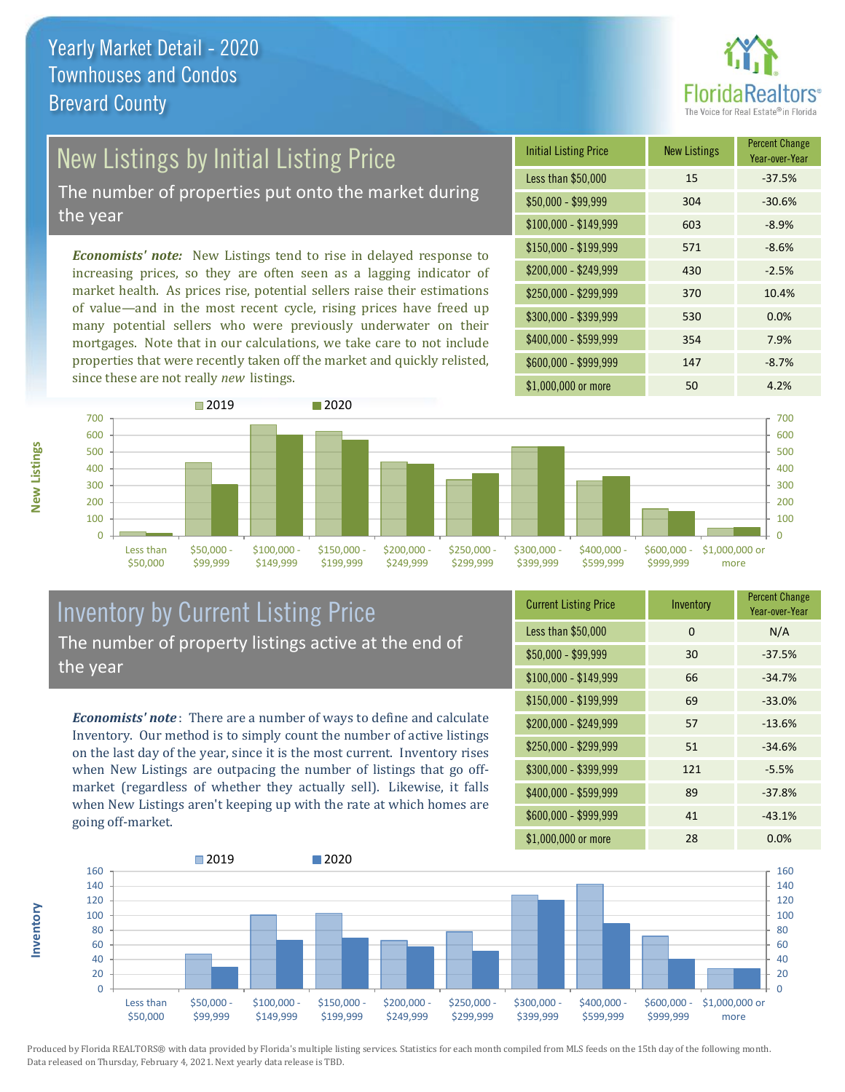

# New Listings by Initial Listing Price

The number of properties put onto the market during the year

*Economists' note:* New Listings tend to rise in delayed response to increasing prices, so they are often seen as a lagging indicator of market health. As prices rise, potential sellers raise their estimations of value—and in the most recent cycle, rising prices have freed up many potential sellers who were previously underwater on their mortgages. Note that in our calculations, we take care to not include properties that were recently taken off the market and quickly relisted, since these are not really *new* listings.





#### Inventory by Current Listing Price The number of property listings active at the end of the year

*Economists' note* : There are a number of ways to define and calculate Inventory. Our method is to simply count the number of active listings on the last day of the year, since it is the most current. Inventory rises when New Listings are outpacing the number of listings that go offmarket (regardless of whether they actually sell). Likewise, it falls when New Listings aren't keeping up with the rate at which homes are going off-market.

| <b>Current Listing Price</b> | Inventory | <b>Percent Change</b><br>Year-over-Year |  |
|------------------------------|-----------|-----------------------------------------|--|
| Less than \$50,000           | $\Omega$  | N/A                                     |  |
| $$50,000 - $99,999$          | 30        | $-37.5%$                                |  |
| $$100,000 - $149,999$        | 66        | $-34.7%$                                |  |
| \$150,000 - \$199,999        | 69        | $-33.0%$                                |  |
| \$200,000 - \$249,999        | 57        | $-13.6%$                                |  |
| \$250,000 - \$299,999        | 51        | $-34.6%$                                |  |
| \$300,000 - \$399,999        | 121       | $-5.5%$                                 |  |
| \$400,000 - \$599,999        | 89        | $-37.8%$                                |  |
| \$600,000 - \$999,999        | 41        | $-43.1%$                                |  |
| \$1,000,000 or more          | 28        | 0.0%                                    |  |



Produced by Florida REALTORS® with data provided by Florida's multiple listing services. Statistics for each month compiled from MLS feeds on the 15th day of the following month. Data released on Thursday, February 4, 2021. Next yearly data release is TBD.

**Inventory**